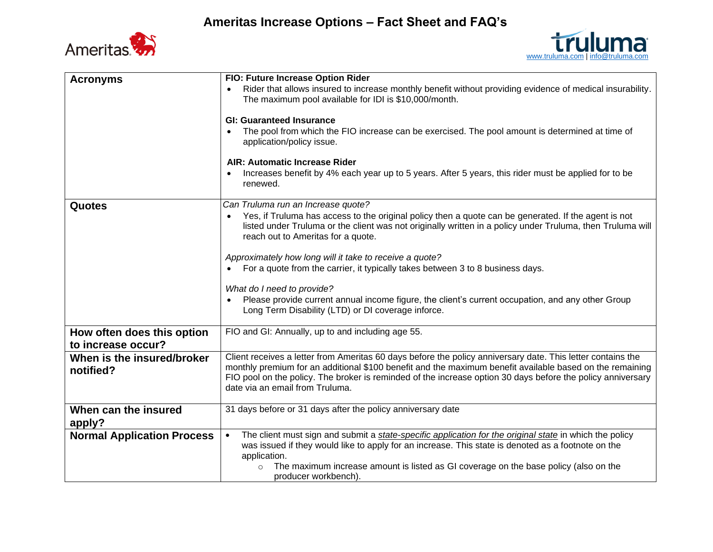



| <b>Acronyms</b>                                  | FIO: Future Increase Option Rider                                                                                                                                                                                                                                                                                                                                         |
|--------------------------------------------------|---------------------------------------------------------------------------------------------------------------------------------------------------------------------------------------------------------------------------------------------------------------------------------------------------------------------------------------------------------------------------|
|                                                  | Rider that allows insured to increase monthly benefit without providing evidence of medical insurability.<br>The maximum pool available for IDI is \$10,000/month.                                                                                                                                                                                                        |
|                                                  | <b>GI: Guaranteed Insurance</b>                                                                                                                                                                                                                                                                                                                                           |
|                                                  | The pool from which the FIO increase can be exercised. The pool amount is determined at time of<br>application/policy issue.                                                                                                                                                                                                                                              |
|                                                  | AIR: Automatic Increase Rider                                                                                                                                                                                                                                                                                                                                             |
|                                                  | Increases benefit by 4% each year up to 5 years. After 5 years, this rider must be applied for to be<br>renewed.                                                                                                                                                                                                                                                          |
| <b>Quotes</b>                                    | Can Truluma run an Increase quote?                                                                                                                                                                                                                                                                                                                                        |
|                                                  | Yes, if Truluma has access to the original policy then a quote can be generated. If the agent is not<br>listed under Truluma or the client was not originally written in a policy under Truluma, then Truluma will<br>reach out to Ameritas for a quote.                                                                                                                  |
|                                                  | Approximately how long will it take to receive a quote?                                                                                                                                                                                                                                                                                                                   |
|                                                  | For a quote from the carrier, it typically takes between 3 to 8 business days.                                                                                                                                                                                                                                                                                            |
|                                                  |                                                                                                                                                                                                                                                                                                                                                                           |
|                                                  | What do I need to provide?<br>Please provide current annual income figure, the client's current occupation, and any other Group<br>Long Term Disability (LTD) or DI coverage inforce.                                                                                                                                                                                     |
| How often does this option<br>to increase occur? | FIO and GI: Annually, up to and including age 55.                                                                                                                                                                                                                                                                                                                         |
| When is the insured/broker<br>notified?          | Client receives a letter from Ameritas 60 days before the policy anniversary date. This letter contains the<br>monthly premium for an additional \$100 benefit and the maximum benefit available based on the remaining<br>FIO pool on the policy. The broker is reminded of the increase option 30 days before the policy anniversary<br>date via an email from Truluma. |
| When can the insured                             | 31 days before or 31 days after the policy anniversary date                                                                                                                                                                                                                                                                                                               |
| apply?                                           |                                                                                                                                                                                                                                                                                                                                                                           |
| <b>Normal Application Process</b>                | The client must sign and submit a state-specific application for the original state in which the policy<br>$\bullet$<br>was issued if they would like to apply for an increase. This state is denoted as a footnote on the<br>application.                                                                                                                                |
|                                                  | The maximum increase amount is listed as GI coverage on the base policy (also on the<br>producer workbench).                                                                                                                                                                                                                                                              |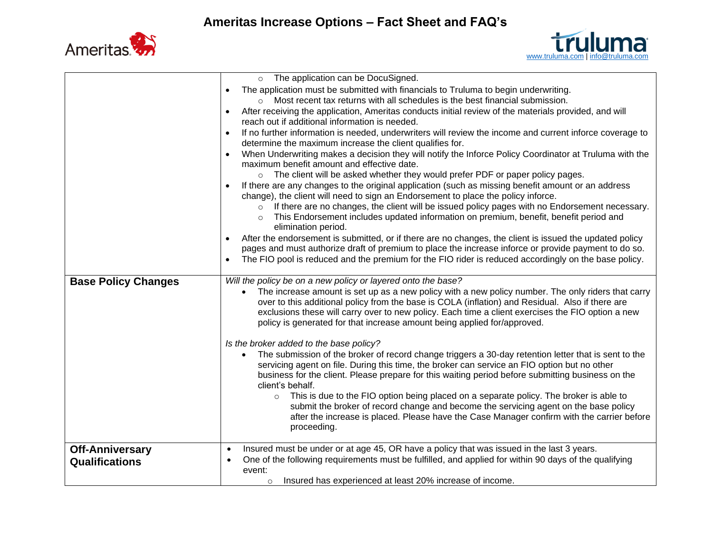



|                                          | The application can be DocuSigned.<br>$\circ$                                                                                                                                                                                                                                                                                                                                         |
|------------------------------------------|---------------------------------------------------------------------------------------------------------------------------------------------------------------------------------------------------------------------------------------------------------------------------------------------------------------------------------------------------------------------------------------|
|                                          | The application must be submitted with financials to Truluma to begin underwriting.<br>Most recent tax returns with all schedules is the best financial submission.                                                                                                                                                                                                                   |
|                                          | After receiving the application, Ameritas conducts initial review of the materials provided, and will<br>reach out if additional information is needed.                                                                                                                                                                                                                               |
|                                          | If no further information is needed, underwriters will review the income and current inforce coverage to<br>$\bullet$<br>determine the maximum increase the client qualifies for.                                                                                                                                                                                                     |
|                                          | When Underwriting makes a decision they will notify the Inforce Policy Coordinator at Truluma with the<br>maximum benefit amount and effective date.                                                                                                                                                                                                                                  |
|                                          | o The client will be asked whether they would prefer PDF or paper policy pages.                                                                                                                                                                                                                                                                                                       |
|                                          | If there are any changes to the original application (such as missing benefit amount or an address<br>change), the client will need to sign an Endorsement to place the policy inforce.                                                                                                                                                                                               |
|                                          | If there are no changes, the client will be issued policy pages with no Endorsement necessary.<br>$\circ$<br>This Endorsement includes updated information on premium, benefit, benefit period and<br>elimination period.                                                                                                                                                             |
|                                          | After the endorsement is submitted, or if there are no changes, the client is issued the updated policy<br>pages and must authorize draft of premium to place the increase inforce or provide payment to do so.                                                                                                                                                                       |
|                                          | The FIO pool is reduced and the premium for the FIO rider is reduced accordingly on the base policy.<br>$\bullet$                                                                                                                                                                                                                                                                     |
| <b>Base Policy Changes</b>               | Will the policy be on a new policy or layered onto the base?                                                                                                                                                                                                                                                                                                                          |
|                                          | The increase amount is set up as a new policy with a new policy number. The only riders that carry<br>$\bullet$                                                                                                                                                                                                                                                                       |
|                                          | over to this additional policy from the base is COLA (inflation) and Residual. Also if there are<br>exclusions these will carry over to new policy. Each time a client exercises the FIO option a new<br>policy is generated for that increase amount being applied for/approved.                                                                                                     |
|                                          |                                                                                                                                                                                                                                                                                                                                                                                       |
|                                          | Is the broker added to the base policy?<br>The submission of the broker of record change triggers a 30-day retention letter that is sent to the<br>$\bullet$<br>servicing agent on file. During this time, the broker can service an FIO option but no other<br>business for the client. Please prepare for this waiting period before submitting business on the<br>client's behalf. |
|                                          | This is due to the FIO option being placed on a separate policy. The broker is able to<br>$\circ$<br>submit the broker of record change and become the servicing agent on the base policy<br>after the increase is placed. Please have the Case Manager confirm with the carrier before<br>proceeding.                                                                                |
|                                          | $\bullet$                                                                                                                                                                                                                                                                                                                                                                             |
| <b>Off-Anniversary</b><br>Qualifications | Insured must be under or at age 45, OR have a policy that was issued in the last 3 years.<br>One of the following requirements must be fulfilled, and applied for within 90 days of the qualifying<br>$\bullet$<br>event:<br>Insured has experienced at least 20% increase of income.                                                                                                 |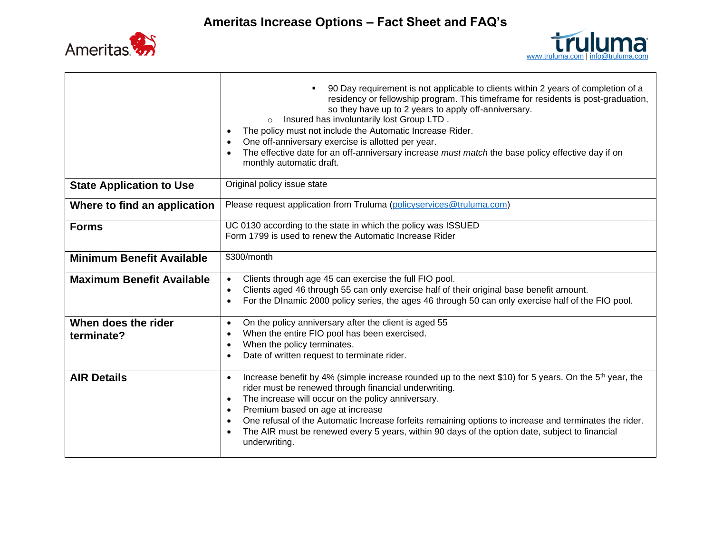

Т

 $\Box$ 



|                                  | 90 Day requirement is not applicable to clients within 2 years of completion of a<br>residency or fellowship program. This timeframe for residents is post-graduation,<br>so they have up to 2 years to apply off-anniversary.<br>Insured has involuntarily lost Group LTD.<br>$\circ$<br>The policy must not include the Automatic Increase Rider.<br>$\bullet$<br>One off-anniversary exercise is allotted per year.<br>$\bullet$<br>The effective date for an off-anniversary increase must match the base policy effective day if on<br>$\bullet$<br>monthly automatic draft. |
|----------------------------------|-----------------------------------------------------------------------------------------------------------------------------------------------------------------------------------------------------------------------------------------------------------------------------------------------------------------------------------------------------------------------------------------------------------------------------------------------------------------------------------------------------------------------------------------------------------------------------------|
| <b>State Application to Use</b>  | Original policy issue state                                                                                                                                                                                                                                                                                                                                                                                                                                                                                                                                                       |
| Where to find an application     | Please request application from Truluma (policyservices@truluma.com)                                                                                                                                                                                                                                                                                                                                                                                                                                                                                                              |
| <b>Forms</b>                     | UC 0130 according to the state in which the policy was ISSUED<br>Form 1799 is used to renew the Automatic Increase Rider                                                                                                                                                                                                                                                                                                                                                                                                                                                          |
| <b>Minimum Benefit Available</b> | \$300/month                                                                                                                                                                                                                                                                                                                                                                                                                                                                                                                                                                       |
| <b>Maximum Benefit Available</b> | Clients through age 45 can exercise the full FIO pool.<br>$\bullet$<br>Clients aged 46 through 55 can only exercise half of their original base benefit amount.<br>$\bullet$<br>For the DInamic 2000 policy series, the ages 46 through 50 can only exercise half of the FIO pool.<br>$\bullet$                                                                                                                                                                                                                                                                                   |
| When does the rider              | On the policy anniversary after the client is aged 55<br>$\bullet$<br>When the entire FIO pool has been exercised.<br>$\bullet$                                                                                                                                                                                                                                                                                                                                                                                                                                                   |
| terminate?                       | When the policy terminates.<br>$\bullet$                                                                                                                                                                                                                                                                                                                                                                                                                                                                                                                                          |
|                                  | Date of written request to terminate rider.<br>$\bullet$                                                                                                                                                                                                                                                                                                                                                                                                                                                                                                                          |
| <b>AIR Details</b>               | Increase benefit by 4% (simple increase rounded up to the next \$10) for 5 years. On the 5 <sup>th</sup> year, the<br>$\bullet$<br>rider must be renewed through financial underwriting.<br>The increase will occur on the policy anniversary.<br>$\bullet$<br>Premium based on age at increase<br>$\bullet$<br>One refusal of the Automatic Increase forfeits remaining options to increase and terminates the rider.<br>$\bullet$<br>The AIR must be renewed every 5 years, within 90 days of the option date, subject to financial<br>$\bullet$<br>underwriting.               |